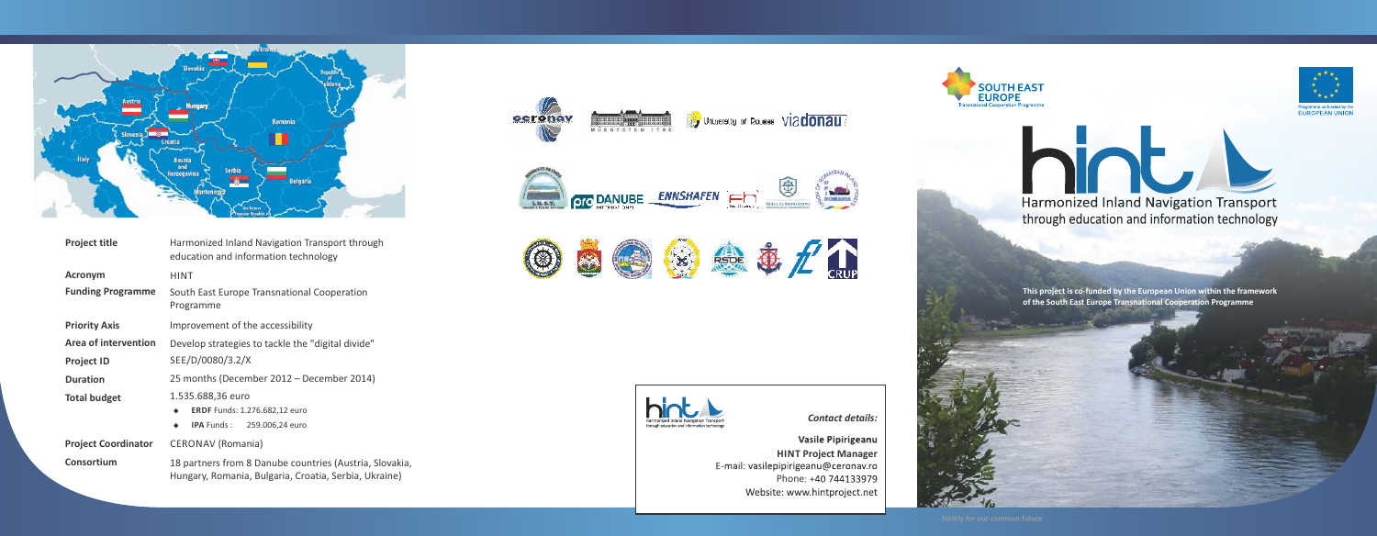

| <b>Project title</b>        | Harmonized Inland Navigation Transport through<br>education and information technology                           |
|-----------------------------|------------------------------------------------------------------------------------------------------------------|
| <b>Acronym</b>              | <b>HINT</b>                                                                                                      |
| <b>Funding Programme</b>    | South East Europe Transnational Cooperation<br>Programme                                                         |
| <b>Priority Axis</b>        | Improvement of the accessibility                                                                                 |
| <b>Area of intervention</b> | Develop strategies to tackle the "digital divide"                                                                |
| <b>Project ID</b>           | SEE/D/0080/3.2/X                                                                                                 |
| <b>Duration</b>             | 25 months (December 2012 - December 2014)                                                                        |
| <b>Total budget</b>         | 1.535.688,36 euro<br><b>ERDF</b> Funds: 1.276.682,12 euro<br><b>IPA</b> Funds:<br>259.006,24 euro<br>٠           |
| <b>Project Coordinator</b>  | <b>CERONAV</b> (Romania)                                                                                         |
| Consortium                  | 18 partners from 8 Danube countries (Austria, Slovakia,<br>Hungary, Romania, Bulgaria, Croatia, Serbia, Ukraine) |

## *Con tact de tails:*

Website: www.hintproject.net

Harmonized Inland Navigation Transport Harmonized Inland Navigation Transport through education and information technology





**This project is co‐funded by the European Union within the frame work of the South East Europe T ransnational Cooper ation Programme**



Programme co-funded by the<br>EUROPEAN UNION